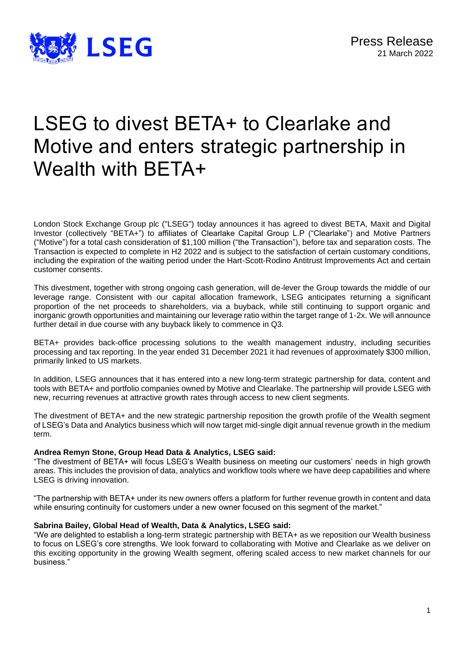

# LSEG to divest BETA+ to Clearlake and Motive and enters strategic partnership in Wealth with BETA+

London Stock Exchange Group plc ("LSEG") today announces it has agreed to divest BETA, Maxit and Digital Investor (collectively "BETA+") to affiliates of Clearlake Capital Group L.P ("Clearlake") and Motive Partners ("Motive") for a total cash consideration of \$1,100 million ("the Transaction"), before tax and separation costs. The Transaction is expected to complete in H2 2022 and is subject to the satisfaction of certain customary conditions, including the expiration of the waiting period under the Hart-Scott-Rodino Antitrust Improvements Act and certain customer consents.

This divestment, together with strong ongoing cash generation, will de-lever the Group towards the middle of our leverage range. Consistent with our capital allocation framework, LSEG anticipates returning a significant proportion of the net proceeds to shareholders, via a buyback, while still continuing to support organic and inorganic growth opportunities and maintaining our leverage ratio within the target range of 1-2x. We will announce further detail in due course with any buyback likely to commence in Q3.

BETA+ provides back-office processing solutions to the wealth management industry, including securities processing and tax reporting. In the year ended 31 December 2021 it had revenues of approximately \$300 million, primarily linked to US markets.

In addition, LSEG announces that it has entered into a new long-term strategic partnership for data, content and tools with BETA+ and portfolio companies owned by Motive and Clearlake. The partnership will provide LSEG with new, recurring revenues at attractive growth rates through access to new client segments.

The divestment of BETA+ and the new strategic partnership reposition the growth profile of the Wealth segment of LSEG's Data and Analytics business which will now target mid-single digit annual revenue growth in the medium term.

# **Andrea Remyn Stone, Group Head Data & Analytics, LSEG said:**

"The divestment of BETA+ will focus LSEG's Wealth business on meeting our customers' needs in high growth areas. This includes the provision of data, analytics and workflow tools where we have deep capabilities and where LSEG is driving innovation.

"The partnership with BETA+ under its new owners offers a platform for further revenue growth in content and data while ensuring continuity for customers under a new owner focused on this segment of the market."

#### **Sabrina Bailey, Global Head of Wealth, Data & Analytics, LSEG said:**

"We are delighted to establish a long-term strategic partnership with BETA+ as we reposition our Wealth business to focus on LSEG's core strengths. We look forward to collaborating with Motive and Clearlake as we deliver on this exciting opportunity in the growing Wealth segment, offering scaled access to new market channels for our business."